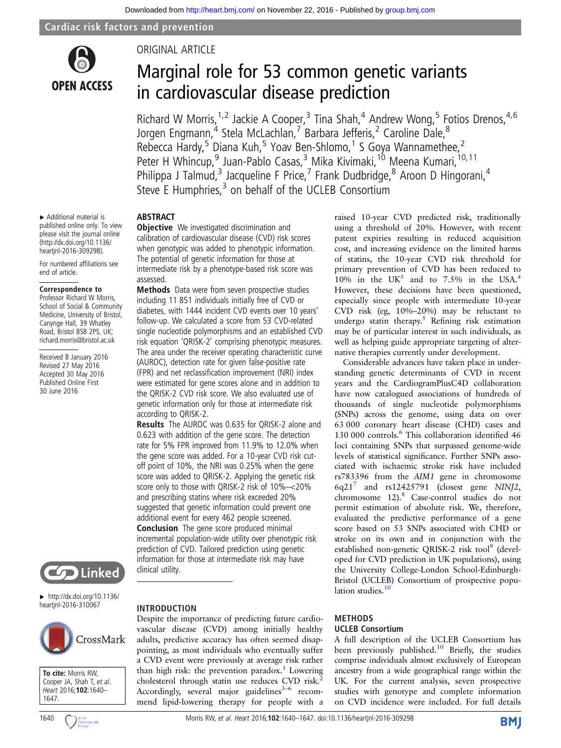

# ORIGINAL ARTICLE

# Marginal role for 53 common genetic variants in cardiovascular disease prediction

Richard W Morris,<sup>1,2</sup> Jackie A Cooper,<sup>3</sup> Tina Shah,<sup>4</sup> Andrew Wong,<sup>5</sup> Fotios Drenos,<sup>4,6</sup> Jorgen Engmann,<sup>4</sup> Stela McLachlan,<sup>7</sup> Barbara Jefferis,<sup>2</sup> Caroline Dale,<sup>8</sup> Rebecca Hardy,<sup>5</sup> Diana Kuh,<sup>5</sup> Yoav Ben-Shlomo,<sup>1</sup> S Goya Wannamethee,<sup>2</sup> Peter H Whincup,<sup>9</sup> Juan-Pablo Casas,<sup>3</sup> Mika Kivimaki,<sup>10</sup> Meena Kumari,<sup>10,11</sup> Philippa J Talmud,<sup>3</sup> Jacqueline F Price,<sup>7</sup> Frank Dudbridge,<sup>8</sup> Aroon D Hingorani,<sup>4</sup> Steve E Humphries, $3$  on behalf of the UCLEB Consortium

▸ Additional material is published online only. To view please visit the journal online [\(http://dx.doi.org/10.1136/](http://dx.doi.org/10.1136/heartjnl-2016-309298) [heartjnl-2016-309298](http://dx.doi.org/10.1136/heartjnl-2016-309298)).

For numbered affiliations see end of article.

#### Correspondence to

Professor Richard W Morris, School of Social & Community Medicine, University of Bristol, Canynge Hall, 39 Whatley Road, Bristol BS8 2PS, UK; richard.morris@bristol.ac.uk

Received 8 January 2016 Revised 27 May 2016 Accepted 30 May 2016 Published Online First 30 June 2016



 $\blacktriangleright$  [http://dx.doi.org/10.1136/](http://dx.doi.org/10.1136/heartjnl-2016-310067) [heartjnl-2016-310067](http://dx.doi.org/10.1136/heartjnl-2016-310067)





**Objective** We investigated discrimination and calibration of cardiovascular disease (CVD) risk scores when genotypic was added to phenotypic information. The potential of genetic information for those at intermediate risk by a phenotype-based risk score was assessed.

ABSTRACT

Methods Data were from seven prospective studies including 11 851 individuals initially free of CVD or diabetes, with 1444 incident CVD events over 10 years' follow-up. We calculated a score from 53 CVD-related single nucleotide polymorphisms and an established CVD risk equation 'QRISK-2' comprising phenotypic measures. The area under the receiver operating characteristic curve (AUROC), detection rate for given false-positive rate (FPR) and net reclassification improvement (NRI) index were estimated for gene scores alone and in addition to the QRISK-2 CVD risk score. We also evaluated use of genetic information only for those at intermediate risk according to QRISK-2.

Results The AUROC was 0.635 for QRISK-2 alone and 0.623 with addition of the gene score. The detection rate for 5% FPR improved from 11.9% to 12.0% when the gene score was added. For a 10-year CVD risk cutoff point of 10%, the NRI was 0.25% when the gene score was added to QRISK-2. Applying the genetic risk score only to those with QRISK-2 risk of 10%–<20% and prescribing statins where risk exceeded 20% suggested that genetic information could prevent one additional event for every 462 people screened. **Conclusion** The gene score produced minimal incremental population-wide utility over phenotypic risk prediction of CVD. Tailored prediction using genetic information for those at intermediate risk may have clinical utility.

INTRODUCTION

Despite the importance of predicting future cardiovascular disease (CVD) among initially healthy adults, predictive accuracy has often seemed disappointing, as most individuals who eventually suffer a CVD event were previously at average risk rather than high risk: the prevention paradox.<sup>[1](#page-6-0)</sup> Lowering cholesterol through statin use reduces CVD risk.<sup>[2](#page-6-0)</sup> Accordingly, several major guidelines $3-6$  $3-6$  recommend lipid-lowering therapy for people with a raised 10-year CVD predicted risk, traditionally using a threshold of 20%. However, with recent patent expiries resulting in reduced acquisition cost, and increasing evidence on the limited harms of statins, the 10-year CVD risk threshold for primary prevention of CVD has been reduced to 10% in the UK<sup>3</sup> and to 7.5% in the USA.<sup>[4](#page-6-0)</sup> However, these decisions have been questioned, especially since people with intermediate 10-year CVD risk (eg, 10%–20%) may be reluctant to undergo statin therapy.<sup>[5](#page-6-0)</sup> Refining risk estimation may be of particular interest in such individuals, as well as helping guide appropriate targeting of alternative therapies currently under development.

Considerable advances have taken place in understanding genetic determinants of CVD in recent years and the CardiogramPlusC4D collaboration have now catalogued associations of hundreds of thousands of single nucleotide polymorphisms (SNPs) across the genome, using data on over 63 000 coronary heart disease (CHD) cases and 130 000 controls.<sup>[6](#page-6-0)</sup> This collaboration identified 46 loci containing SNPs that surpassed genome-wide levels of statistical significance. Further SNPs associated with ischaemic stroke risk have included rs783396 from the AIM1 gene in chromosome  $6q21^7$  and rs12425791 (closest gene NINJ2, chromosome  $12$ ).<sup>8</sup> Case-control studies do not permit estimation of absolute risk. We, therefore, evaluated the predictive performance of a gene score based on 53 SNPs associated with CHD or stroke on its own and in conjunction with the established non-genetic QRISK-2 risk tool<sup>9</sup> (developed for CVD prediction in UK populations), using the University College-London School-Edinburgh-Bristol (UCLEB) Consortium of prospective popu-lation studies.<sup>[10](#page-6-0)</sup>

#### METHODS

#### UCLEB Consortium

A full description of the UCLEB Consortium has been previously published.<sup>[10](#page-6-0)</sup> Briefly, the studies comprise individuals almost exclusively of European ancestry from a wide geographical range within the UK. For the current analysis, seven prospective studies with genotype and complete information on CVD incidence were included. For full details

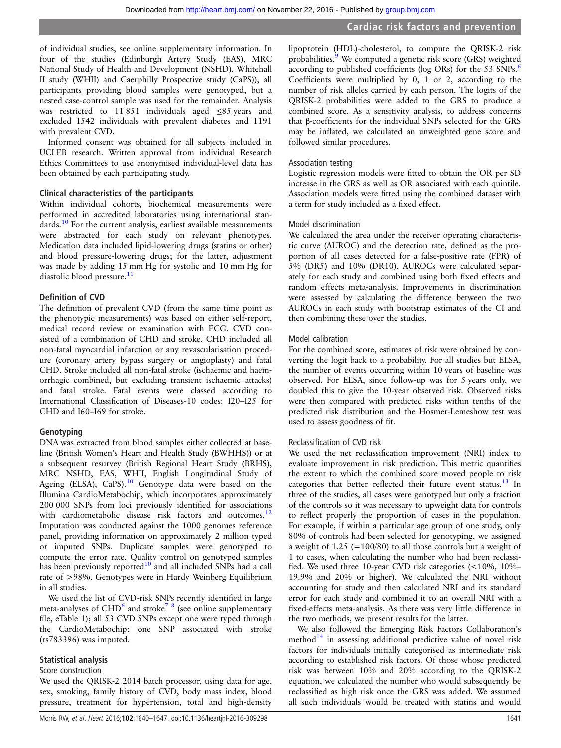of individual studies, see online supplementary information. In four of the studies (Edinburgh Artery Study (EAS), MRC National Study of Health and Development (NSHD), Whitehall II study (WHII) and Caerphilly Prospective study (CaPS)), all participants providing blood samples were genotyped, but a nested case-control sample was used for the remainder. Analysis was restricted to 11 851 individuals aged ≤85 years and excluded 1542 individuals with prevalent diabetes and 1191 with prevalent CVD.

Informed consent was obtained for all subjects included in UCLEB research. Written approval from individual Research Ethics Committees to use anonymised individual-level data has been obtained by each participating study.

#### Clinical characteristics of the participants

Within individual cohorts, biochemical measurements were performed in accredited laboratories using international stan-dards.<sup>[10](#page-6-0)</sup> For the current analysis, earliest available measurements were abstracted for each study on relevant phenotypes. Medication data included lipid-lowering drugs (statins or other) and blood pressure-lowering drugs; for the latter, adjustment was made by adding 15 mm Hg for systolic and 10 mm Hg for diastolic blood pressure. $11$ 

#### Definition of CVD

The definition of prevalent CVD (from the same time point as the phenotypic measurements) was based on either self-report, medical record review or examination with ECG. CVD consisted of a combination of CHD and stroke. CHD included all non-fatal myocardial infarction or any revascularisation procedure (coronary artery bypass surgery or angioplasty) and fatal CHD. Stroke included all non-fatal stroke (ischaemic and haemorrhagic combined, but excluding transient ischaemic attacks) and fatal stroke. Fatal events were classed according to International Classification of Diseases-10 codes: I20–I25 for CHD and I60–I69 for stroke.

#### Genotyping

DNA was extracted from blood samples either collected at baseline (British Women's Heart and Health Study (BWHHS)) or at a subsequent resurvey (British Regional Heart Study (BRHS), MRC NSHD, EAS, WHII, English Longitudinal Study of Ageing (ELSA), CaPS $L^{10}$  $L^{10}$  $L^{10}$  Genotype data were based on the Illumina CardioMetabochip, which incorporates approximately 200 000 SNPs from loci previously identified for associations with cardiometabolic disease risk factors and outcomes.<sup>12</sup> Imputation was conducted against the 1000 genomes reference panel, providing information on approximately 2 million typed or imputed SNPs. Duplicate samples were genotyped to compute the error rate. Quality control on genotyped samples has been previously reported $10$  and all included SNPs had a call rate of >98%. Genotypes were in Hardy Weinberg Equilibrium in all studies.

We used the list of CVD-risk SNPs recently identified in large meta-analyses of  $CHD<sup>6</sup>$  $CHD<sup>6</sup>$  $CHD<sup>6</sup>$  and stroke<sup>7</sup> <sup>8</sup> (see online supplementary file, eTable 1); all 53 CVD SNPs except one were typed through the CardioMetabochip: one SNP associated with stroke (rs783396) was imputed.

#### Statistical analysis

#### Score construction

We used the QRISK-2 2014 batch processor, using data for age, sex, smoking, family history of CVD, body mass index, blood pressure, treatment for hypertension, total and high-density

lipoprotein (HDL)-cholesterol, to compute the QRISK-2 risk probabilities.<sup>[9](#page-6-0)</sup> We computed a genetic risk score (GRS) weighted according to published coefficients (log ORs) for the 53 SNPs.<sup>[6](#page-6-0)</sup> Coefficients were multiplied by 0, 1 or 2, according to the number of risk alleles carried by each person. The logits of the QRISK-2 probabilities were added to the GRS to produce a combined score. As a sensitivity analysis, to address concerns that β-coefficients for the individual SNPs selected for the GRS may be inflated, we calculated an unweighted gene score and followed similar procedures.

#### Association testing

Logistic regression models were fitted to obtain the OR per SD increase in the GRS as well as OR associated with each quintile. Association models were fitted using the combined dataset with a term for study included as a fixed effect.

#### Model discrimination

We calculated the area under the receiver operating characteristic curve (AUROC) and the detection rate, defined as the proportion of all cases detected for a false-positive rate (FPR) of 5% (DR5) and 10% (DR10). AUROCs were calculated separately for each study and combined using both fixed effects and random effects meta-analysis. Improvements in discrimination were assessed by calculating the difference between the two AUROCs in each study with bootstrap estimates of the CI and then combining these over the studies.

#### Model calibration

For the combined score, estimates of risk were obtained by converting the logit back to a probability. For all studies but ELSA, the number of events occurring within 10 years of baseline was observed. For ELSA, since follow-up was for 5 years only, we doubled this to give the 10-year observed risk. Observed risks were then compared with predicted risks within tenths of the predicted risk distribution and the Hosmer-Lemeshow test was used to assess goodness of fit.

#### Reclassification of CVD risk

We used the net reclassification improvement (NRI) index to evaluate improvement in risk prediction. This metric quantifies the extent to which the combined score moved people to risk categories that better reflected their future event status. $13$  In three of the studies, all cases were genotyped but only a fraction of the controls so it was necessary to upweight data for controls to reflect properly the proportion of cases in the population. For example, if within a particular age group of one study, only 80% of controls had been selected for genotyping, we assigned a weight of 1.25 (=100/80) to all those controls but a weight of 1 to cases, when calculating the number who had been reclassified. We used three 10-year CVD risk categories (<10%, 10%– 19.9% and 20% or higher). We calculated the NRI without accounting for study and then calculated NRI and its standard error for each study and combined it to an overall NRI with a fixed-effects meta-analysis. As there was very little difference in the two methods, we present results for the latter.

We also followed the Emerging Risk Factors Collaboration's method $14$  in assessing additional predictive value of novel risk factors for individuals initially categorised as intermediate risk according to established risk factors. Of those whose predicted risk was between 10% and 20% according to the QRISK-2 equation, we calculated the number who would subsequently be reclassified as high risk once the GRS was added. We assumed all such individuals would be treated with statins and would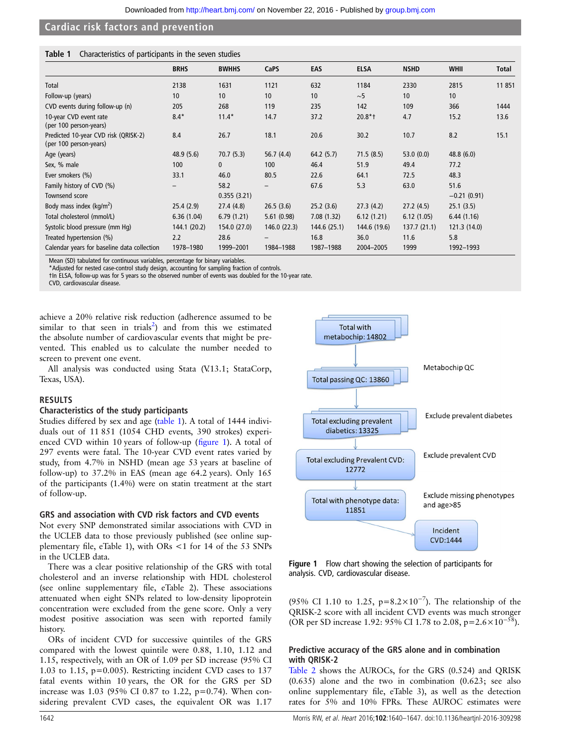#### Table 1 Characteristics of participants in the seven studies

|                                                                | <b>BRHS</b>     | <b>BWHHS</b> | CaPS              | EAS          | <b>ELSA</b>  | <b>NSHD</b> | <b>WHII</b>   | <b>Total</b> |
|----------------------------------------------------------------|-----------------|--------------|-------------------|--------------|--------------|-------------|---------------|--------------|
| Total                                                          | 2138            | 1631         | 1121              | 632          | 1184         | 2330        | 2815          | 11 851       |
| Follow-up (years)                                              | 10              | 10           | 10                | 10           | $\sim$ 5     | 10          | 10            |              |
| CVD events during follow-up (n)                                | 205             | 268          | 119               | 235          | 142          | 109         | 366           | 1444         |
| 10-year CVD event rate<br>(per 100 person-years)               | $8.4*$          | $11.4*$      | 14.7              | 37.2         | $20.8*$ †    | 4.7         | 15.2          | 13.6         |
| Predicted 10-year CVD risk (QRISK-2)<br>(per 100 person-years) | 8.4             | 26.7         | 18.1              | 20.6         | 30.2         | 10.7        | 8.2           | 15.1         |
| Age (years)                                                    | 48.9 (5.6)      | 70.7(5.3)    | 56.7(4.4)         | 64.2(5.7)    | 71.5(8.5)    | 53.0(0.0)   | 48.8(6.0)     |              |
| Sex, % male                                                    | 100             | $\mathbf{0}$ | 100               | 46.4         | 51.9         | 49.4        | 77.2          |              |
| Ever smokers (%)                                               | 33.1            | 46.0         | 80.5              | 22.6         | 64.1         | 72.5        | 48.3          |              |
| Family history of CVD (%)                                      | $\qquad \qquad$ | 58.2         | $\qquad \qquad -$ | 67.6         | 5.3          | 63.0        | 51.6          |              |
| Townsend score                                                 |                 | 0.355(3.21)  |                   |              |              |             | $-0.21(0.91)$ |              |
| Body mass index ( $kg/m2$ )                                    | 25.4(2.9)       | 27.4 (4.8)   | 26.5(3.6)         | 25.2(3.6)    | 27.3(4.2)    | 27.2(4.5)   | 25.1(3.5)     |              |
| Total cholesterol (mmol/L)                                     | 6.36(1.04)      | 6.79(1.21)   | 5.61(0.98)        | 7.08(1.32)   | 6.12(1.21)   | 6.12(1.05)  | 6.44(1.16)    |              |
| Systolic blood pressure (mm Hq)                                | 144.1 (20.2)    | 154.0 (27.0) | 146.0(22.3)       | 144.6 (25.1) | 144.6 (19.6) | 137.7(21.1) | 121.3(14.0)   |              |
| Treated hypertension (%)                                       | 2.2             | 28.6         |                   | 16.8         | 36.0         | 11.6        | 5.8           |              |
| Calendar years for baseline data collection                    | 1978-1980       | 1999-2001    | 1984-1988         | 1987-1988    | 2004-2005    | 1999        | 1992-1993     |              |

Mean (SD) tabulated for continuous variables, percentage for binary variables.

\*Adjusted for nested case-control study design, accounting for sampling fraction of controls.

†In ELSA, follow-up was for 5 years so the observed number of events was doubled for the 10-year rate.

CVD, cardiovascular disease.

achieve a 20% relative risk reduction (adherence assumed to be similar to that seen in trials<sup>[2](#page-6-0)</sup>) and from this we estimated the absolute number of cardiovascular events that might be prevented. This enabled us to calculate the number needed to screen to prevent one event.

All analysis was conducted using Stata (V.13.1; StataCorp, Texas, USA).

#### RESULTS

#### Characteristics of the study participants

Studies differed by sex and age (table 1). A total of 1444 individuals out of 11 851 (1054 CHD events, 390 strokes) experienced CVD within 10 years of follow-up (figure 1). A total of 297 events were fatal. The 10-year CVD event rates varied by study, from 4.7% in NSHD (mean age 53 years at baseline of follow-up) to 37.2% in EAS (mean age 64.2 years). Only 165 of the participants (1.4%) were on statin treatment at the start of follow-up.

#### GRS and association with CVD risk factors and CVD events

Not every SNP demonstrated similar associations with CVD in the UCLEB data to those previously published (see online supplementary file, eTable 1), with ORs <1 for 14 of the 53 SNPs in the UCLEB data.

There was a clear positive relationship of the GRS with total cholesterol and an inverse relationship with HDL cholesterol (see online supplementary file, eTable 2). These associations attenuated when eight SNPs related to low-density lipoprotein concentration were excluded from the gene score. Only a very modest positive association was seen with reported family history.

ORs of incident CVD for successive quintiles of the GRS compared with the lowest quintile were 0.88, 1.10, 1.12 and 1.15, respectively, with an OR of 1.09 per SD increase (95% CI 1.03 to 1.15, p=0.005). Restricting incident CVD cases to 137 fatal events within 10 years, the OR for the GRS per SD increase was 1.03 (95% CI 0.87 to 1.22, p=0.74). When considering prevalent CVD cases, the equivalent OR was 1.17



Figure 1 Flow chart showing the selection of participants for analysis. CVD, cardiovascular disease.

(95% CI 1.10 to 1.25, p= $8.2 \times 10^{-7}$ ). The relationship of the QRISK-2 score with all incident CVD events was much stronger (OR per SD increase 1.92: 95% CI 1.78 to 2.08, p=2.6×10<sup>−</sup>58).

### Predictive accuracy of the GRS alone and in combination with QRISK-2

[Table 2](#page-3-0) shows the AUROCs, for the GRS (0.524) and QRISK (0.635) alone and the two in combination (0.623; see also online supplementary file, eTable 3), as well as the detection rates for 5% and 10% FPRs. These AUROC estimates were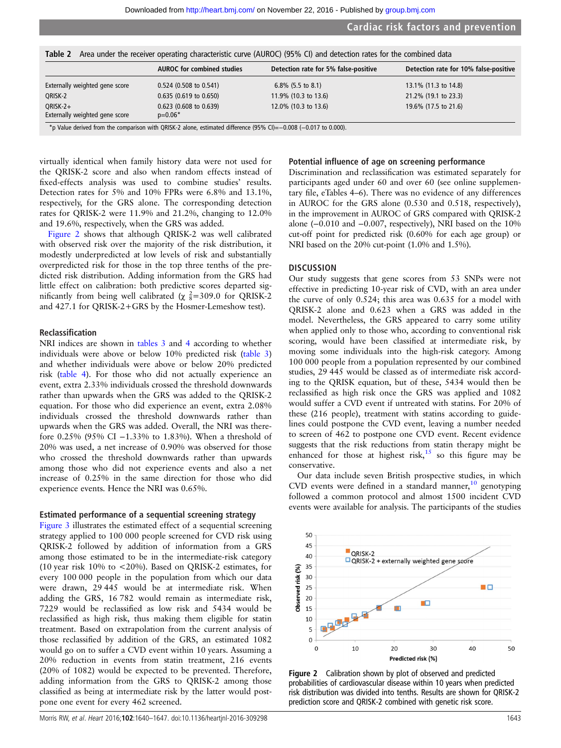<span id="page-3-0"></span>Table 2 Area under the receiver operating characteristic curve (AUROC) (95% CI) and detection rates for the combined data

|                                              | <b>AUROC</b> for combined studies                                                                                             | Detection rate for 5% false-positive | Detection rate for 10% false-positive |
|----------------------------------------------|-------------------------------------------------------------------------------------------------------------------------------|--------------------------------------|---------------------------------------|
| Externally weighted gene score               | $0.524$ (0.508 to 0.541)                                                                                                      | $6.8\%$ (5.5 to 8.1)                 | 13.1% (11.3 to 14.8)                  |
| QRISK-2                                      | 0.635 (0.619 to 0.650)                                                                                                        | 11.9% (10.3 to 13.6)                 | 21.2% (19.1 to 23.3)                  |
| $ORISK-2+$<br>Externally weighted gene score | 0.623 (0.608 to 0.639)<br>$p=0.06*$                                                                                           | 12.0% (10.3 to 13.6)                 | 19.6% (17.5 to 21.6)                  |
|                                              | $\star$ $\sim$ Velue deviced from the compositor with ODICK 3 class, estimated difference (OEN CI) = 0.000 (= 0.017 to 0.000) |                                      |                                       |

\*p Value derived from the comparison with QRISK-2 alone, estimated difference (95% CI)=−0.008 (−0.017 to 0.000).

virtually identical when family history data were not used for the QRISK-2 score and also when random effects instead of fixed-effects analysis was used to combine studies' results. Detection rates for 5% and 10% FPRs were 6.8% and 13.1%, respectively, for the GRS alone. The corresponding detection rates for QRISK-2 were 11.9% and 21.2%, changing to 12.0% and 19.6%, respectively, when the GRS was added.

Figure 2 shows that although QRISK-2 was well calibrated with observed risk over the majority of the risk distribution, it modestly underpredicted at low levels of risk and substantially overpredicted risk for those in the top three tenths of the predicted risk distribution. Adding information from the GRS had little effect on calibration: both predictive scores departed significantly from being well calibrated ( $\chi$   $\frac{2}{8}$ =309.0 for QRISK-2 and 427.1 for QRISK-2+GRS by the Hosmer-Lemeshow test).

#### Reclassification

NRI indices are shown in [tables 3](#page-4-0) and [4](#page-4-0) according to whether individuals were above or below 10% predicted risk [\(table 3\)](#page-4-0) and whether individuals were above or below 20% predicted risk [\(table 4\)](#page-4-0). For those who did not actually experience an event, extra 2.33% individuals crossed the threshold downwards rather than upwards when the GRS was added to the QRISK-2 equation. For those who did experience an event, extra 2.08% individuals crossed the threshold downwards rather than upwards when the GRS was added. Overall, the NRI was therefore 0.25% (95% CI −1.33% to 1.83%). When a threshold of 20% was used, a net increase of 0.90% was observed for those who crossed the threshold downwards rather than upwards among those who did not experience events and also a net increase of 0.25% in the same direction for those who did experience events. Hence the NRI was 0.65%.

#### Estimated performance of a sequential screening strategy

[Figure 3](#page-5-0) illustrates the estimated effect of a sequential screening strategy applied to 100 000 people screened for CVD risk using QRISK-2 followed by addition of information from a GRS among those estimated to be in the intermediate-risk category (10 year risk 10% to <20%). Based on QRISK-2 estimates, for every 100 000 people in the population from which our data were drawn, 29 445 would be at intermediate risk. When adding the GRS, 16 782 would remain as intermediate risk, 7229 would be reclassified as low risk and 5434 would be reclassified as high risk, thus making them eligible for statin treatment. Based on extrapolation from the current analysis of those reclassified by addition of the GRS, an estimated 1082 would go on to suffer a CVD event within 10 years. Assuming a 20% reduction in events from statin treatment, 216 events (20% of 1082) would be expected to be prevented. Therefore, adding information from the GRS to QRISK-2 among those classified as being at intermediate risk by the latter would postpone one event for every 462 screened.

#### Potential influence of age on screening performance

Discrimination and reclassification was estimated separately for participants aged under 60 and over 60 (see online supplementary file, eTables 4–6). There was no evidence of any differences in AUROC for the GRS alone (0.530 and 0.518, respectively), in the improvement in AUROC of GRS compared with QRISK-2 alone  $(-0.010$  and  $-0.007$ , respectively), NRI based on the 10% cut-off point for predicted risk (0.60% for each age group) or NRI based on the 20% cut-point (1.0% and 1.5%).

#### **DISCUSSION**

Our study suggests that gene scores from 53 SNPs were not effective in predicting 10-year risk of CVD, with an area under the curve of only 0.524; this area was 0.635 for a model with QRISK-2 alone and 0.623 when a GRS was added in the model. Nevertheless, the GRS appeared to carry some utility when applied only to those who, according to conventional risk scoring, would have been classified at intermediate risk, by moving some individuals into the high-risk category. Among 100 000 people from a population represented by our combined studies, 29 445 would be classed as of intermediate risk according to the QRISK equation, but of these, 5434 would then be reclassified as high risk once the GRS was applied and 1082 would suffer a CVD event if untreated with statins. For 20% of these (216 people), treatment with statins according to guidelines could postpone the CVD event, leaving a number needed to screen of 462 to postpone one CVD event. Recent evidence suggests that the risk reductions from statin therapy might be enhanced for those at highest risk, $15$  so this figure may be conservative.

Our data include seven British prospective studies, in which CVD events were defined in a standard manner,  $\frac{10}{10}$  $\frac{10}{10}$  $\frac{10}{10}$  genotyping followed a common protocol and almost 1500 incident CVD events were available for analysis. The participants of the studies



Figure 2 Calibration shown by plot of observed and predicted probabilities of cardiovascular disease within 10 years when predicted risk distribution was divided into tenths. Results are shown for QRISK-2 prediction score and QRISK-2 combined with genetic risk score.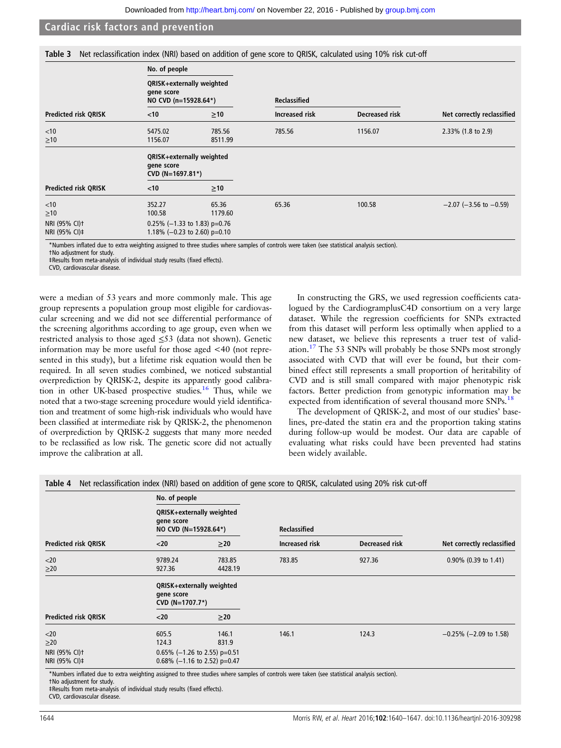<span id="page-4-0"></span>

|  | Table 3 Net reclassification index (NRI) based on addition of gene score to QRISK, calculated using 10% risk cut-off |  |  |  |  |  |  |  |  |  |
|--|----------------------------------------------------------------------------------------------------------------------|--|--|--|--|--|--|--|--|--|
|--|----------------------------------------------------------------------------------------------------------------------|--|--|--|--|--|--|--|--|--|

|                                            | No. of people                                                     |           |                       |                       |                                |
|--------------------------------------------|-------------------------------------------------------------------|-----------|-----------------------|-----------------------|--------------------------------|
|                                            | QRISK+externally weighted<br>gene score<br>NO CVD (n=15928.64*)   |           | <b>Reclassified</b>   |                       |                                |
| <b>Predicted risk QRISK</b>                | $<$ 10                                                            | $\geq 10$ | <b>Increased risk</b> | <b>Decreased risk</b> | Net correctly reclassified     |
| $<$ 10                                     | 5475.02                                                           | 785.56    | 785.56                | 1156.07               | $2.33\%$ (1.8 to 2.9)          |
| $\geq 10$                                  | 1156.07                                                           | 8511.99   |                       |                       |                                |
|                                            | QRISK+externally weighted<br>gene score<br>CVD (N=1697.81*)       |           |                       |                       |                                |
| <b>Predicted risk QRISK</b>                | $<$ 10                                                            | $\geq$ 10 |                       |                       |                                |
| $<$ 10                                     | 352.27                                                            | 65.36     | 65.36                 | 100.58                | $-2.07$ ( $-3.56$ to $-0.59$ ) |
| $\geq 10$                                  | 100.58                                                            | 1179.60   |                       |                       |                                |
| NRI (95% CI) <sup>+</sup><br>NRI (95% CI)‡ | 0.25% ( $-1.33$ to 1.83) p=0.76<br>1.18% (-0.23 to 2.60) $p=0.10$ |           |                       |                       |                                |

\*Numbers inflated due to extra weighting assigned to three studies where samples of controls were taken (see statistical analysis section).

†No adjustment for study.

‡Results from meta-analysis of individual study results (fixed effects).

CVD, cardiovascular disease.

were a median of 53 years and more commonly male. This age group represents a population group most eligible for cardiovascular screening and we did not see differential performance of the screening algorithms according to age group, even when we restricted analysis to those aged ≤53 (data not shown). Genetic information may be more useful for those aged <40 (not represented in this study), but a lifetime risk equation would then be required. In all seven studies combined, we noticed substantial overprediction by QRISK-2, despite its apparently good calibration in other UK-based prospective studies.<sup>16</sup> Thus, while we noted that a two-stage screening procedure would yield identification and treatment of some high-risk individuals who would have been classified at intermediate risk by QRISK-2, the phenomenon of overprediction by QRISK-2 suggests that many more needed to be reclassified as low risk. The genetic score did not actually improve the calibration at all.

In constructing the GRS, we used regression coefficients catalogued by the CardiogramplusC4D consortium on a very large dataset. While the regression coefficients for SNPs extracted from this dataset will perform less optimally when applied to a new dataset, we believe this represents a truer test of validation[.17](#page-7-0) The 53 SNPs will probably be those SNPs most strongly associated with CVD that will ever be found, but their combined effect still represents a small proportion of heritability of CVD and is still small compared with major phenotypic risk factors. Better prediction from genotypic information may be expected from identification of several thousand more SNPs.<sup>[18](#page-7-0)</sup>

The development of QRISK-2, and most of our studies' baselines, pre-dated the statin era and the proportion taking statins during follow-up would be modest. Our data are capable of evaluating what risks could have been prevented had statins been widely available.

|                             | No. of people                                                   |                                 |                     |                       |                              |
|-----------------------------|-----------------------------------------------------------------|---------------------------------|---------------------|-----------------------|------------------------------|
|                             | QRISK+externally weighted<br>gene score<br>NO CVD (N=15928.64*) |                                 | <b>Reclassified</b> |                       |                              |
| <b>Predicted risk QRISK</b> | $20$                                                            | $\geq$ 20                       | Increased risk      | <b>Decreased risk</b> | Net correctly reclassified   |
| $<$ 20                      | 9789.24                                                         | 783.85                          | 783.85              | 927.36                | $0.90\%$ (0.39 to 1.41)      |
| $\geq$ 20                   | 927.36                                                          | 4428.19                         |                     |                       |                              |
|                             | QRISK+externally weighted<br>gene score<br>CVD (N=1707.7*)      |                                 |                     |                       |                              |
| <b>Predicted risk QRISK</b> | $20$                                                            | $\geq$ 20                       |                     |                       |                              |
| $<$ 20                      | 605.5                                                           | 146.1                           | 146.1               | 124.3                 | $-0.25\%$ ( $-2.09$ to 1.58) |
| $\geq$ 20                   | 124.3                                                           | 831.9                           |                     |                       |                              |
| NRI (95% CI) <sup>+</sup>   |                                                                 | $0.65\%$ (-1.26 to 2.55) p=0.51 |                     |                       |                              |
| NRI (95% CI)‡               |                                                                 | 0.68% (-1.16 to 2.52) p=0.47    |                     |                       |                              |

ra weighting assigned to three studies where

†No adjustment for study.

‡Results from meta-analysis of individual study results (fixed effects).

CVD, cardiovascular disease.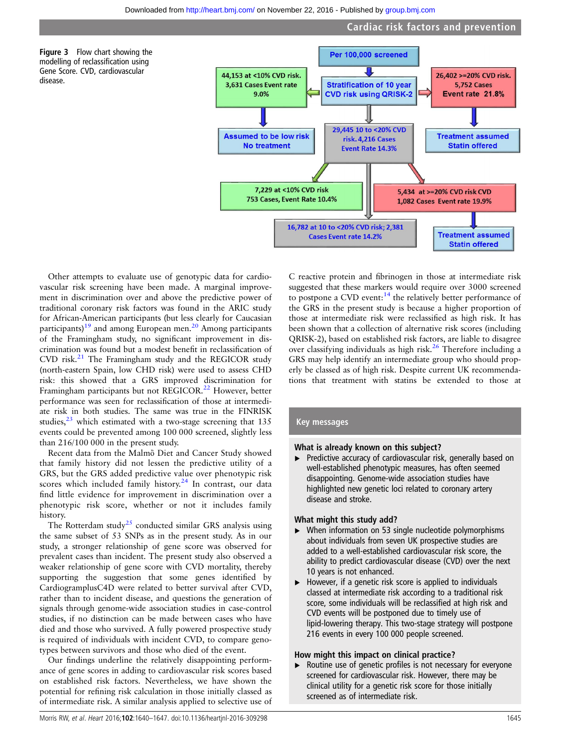

<span id="page-5-0"></span>



Other attempts to evaluate use of genotypic data for cardiovascular risk screening have been made. A marginal improvement in discrimination over and above the predictive power of traditional coronary risk factors was found in the ARIC study for African-American participants (but less clearly for Caucasian participants)<sup>[19](#page-7-0)</sup> and among European men.<sup>[20](#page-7-0)</sup> Among participants of the Framingham study, no significant improvement in discrimination was found but a modest benefit in reclassification of  $CVD$  risk. $^{21}$  The Framingham study and the REGICOR study (north-eastern Spain, low CHD risk) were used to assess CHD risk: this showed that a GRS improved discrimination for Framingham participants but not REGICOR.<sup>[22](#page-7-0)</sup> However, better performance was seen for reclassification of those at intermediate risk in both studies. The same was true in the FINRISK studies, $^{23}$  $^{23}$  $^{23}$  which estimated with a two-stage screening that 135 events could be prevented among 100 000 screened, slightly less than 216/100 000 in the present study.

Recent data from the Malmὂ Diet and Cancer Study showed that family history did not lessen the predictive utility of a GRS, but the GRS added predictive value over phenotypic risk scores which included family history.<sup>[24](#page-7-0)</sup> In contrast, our data find little evidence for improvement in discrimination over a phenotypic risk score, whether or not it includes family history.

The Rotterdam study<sup>25</sup> conducted similar GRS analysis using the same subset of 53 SNPs as in the present study. As in our study, a stronger relationship of gene score was observed for prevalent cases than incident. The present study also observed a weaker relationship of gene score with CVD mortality, thereby supporting the suggestion that some genes identified by CardiogramplusC4D were related to better survival after CVD, rather than to incident disease, and questions the generation of signals through genome-wide association studies in case-control studies, if no distinction can be made between cases who have died and those who survived. A fully powered prospective study is required of individuals with incident CVD, to compare genotypes between survivors and those who died of the event.

Our findings underline the relatively disappointing performance of gene scores in adding to cardiovascular risk scores based on established risk factors. Nevertheless, we have shown the potential for refining risk calculation in those initially classed as of intermediate risk. A similar analysis applied to selective use of

C reactive protein and fibrinogen in those at intermediate risk suggested that these markers would require over 3000 screened to postpone a CVD event:<sup>14</sup> the relatively better performance of the GRS in the present study is because a higher proportion of those at intermediate risk were reclassified as high risk. It has been shown that a collection of alternative risk scores (including QRISK-2), based on established risk factors, are liable to disagree over classifying individuals as high risk.[26](#page-7-0) Therefore including a GRS may help identify an intermediate group who should properly be classed as of high risk. Despite current UK recommendations that treatment with statins be extended to those at

#### Key messages

#### What is already known on this subject?

Predictive accuracy of cardiovascular risk, generally based on well-established phenotypic measures, has often seemed disappointing. Genome-wide association studies have highlighted new genetic loci related to coronary artery disease and stroke.

#### What might this study add?

- ▸ When information on 53 single nucleotide polymorphisms about individuals from seven UK prospective studies are added to a well-established cardiovascular risk score, the ability to predict cardiovascular disease (CVD) over the next 10 years is not enhanced.
- $\blacktriangleright$  However, if a genetic risk score is applied to individuals classed at intermediate risk according to a traditional risk score, some individuals will be reclassified at high risk and CVD events will be postponed due to timely use of lipid-lowering therapy. This two-stage strategy will postpone 216 events in every 100 000 people screened.

#### How might this impact on clinical practice?

▸ Routine use of genetic profiles is not necessary for everyone screened for cardiovascular risk. However, there may be clinical utility for a genetic risk score for those initially screened as of intermediate risk.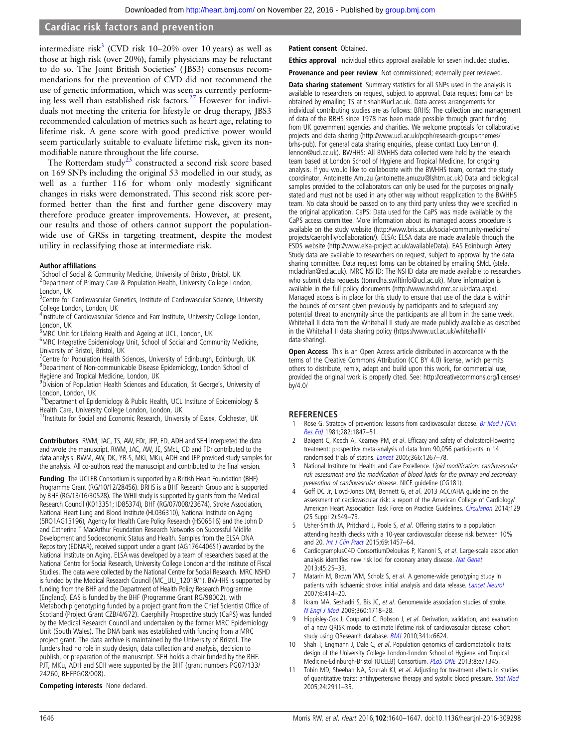<span id="page-6-0"></span>intermediate risk<sup>3</sup> (CVD risk 10–20% over 10 years) as well as those at high risk (over 20%), family physicians may be reluctant to do so. The Joint British Societies' ( JBS3) consensus recommendations for the prevention of CVD did not recommend the use of genetic information, which was seen as currently performing less well than established risk factors.[27](#page-7-0) However for individuals not meeting the criteria for lifestyle or drug therapy, JBS3 recommended calculation of metrics such as heart age, relating to lifetime risk. A gene score with good predictive power would seem particularly suitable to evaluate lifetime risk, given its nonmodifiable nature throughout the life course.

The Rotterdam study<sup>25</sup> constructed a second risk score based on 169 SNPs including the original 53 modelled in our study, as well as a further 116 for whom only modestly significant changes in risks were demonstrated. This second risk score performed better than the first and further gene discovery may therefore produce greater improvements. However, at present, our results and those of others cannot support the populationwide use of GRSs in targeting treatment, despite the modest utility in reclassifying those at intermediate risk.

#### Author affiliations

<sup>1</sup>School of Social & Community Medicine, University of Bristol, Bristol, UK <sup>2</sup> Department of Primary Care & Population Health, University College London, London, UK

<sup>3</sup> Centre for Cardiovascular Genetics, Institute of Cardiovascular Science, University College London, London, UK

<sup>4</sup>Institute of Cardiovascular Science and Farr Institute, University College London, London, UK

<sup>5</sup>MRC Unit for Lifelong Health and Ageing at UCL, London, UK

<sup>6</sup>MRC Integrative Epidemiology Unit, School of Social and Community Medicine, University of Bristol, Bristol, UK

<sup>7</sup> Centre for Population Health Sciences, University of Edinburgh, Edinburgh, UK <sup>8</sup>Department of Non-communicable Disease Epidemiology, London School of Hygiene and Tropical Medicine, London, UK

<sup>9</sup>Division of Population Health Sciences and Education, St George's, University of

London, London, UK<br><sup>10</sup>Department of Epidemiology & Public Health, UCL Institute of Epidemiology & Health Care, University College London, London, UK

11Institute for Social and Economic Research, University of Essex, Colchester, UK

Contributors RWM, JAC, TS, AW, FDr, JFP, FD, ADH and SEH interpreted the data and wrote the manuscript. RWM, JAC, AW, JE, SMcL, CD and FDr contributed to the data analysis. RWM, AW, DK, YB-S, MKi, MKu, ADH and JFP provided study samples for the analysis. All co-authors read the manuscript and contributed to the final version.

Funding The UCLEB Consortium is supported by a British Heart Foundation (BHF) Programme Grant (RG/10/12/28456). BRHS is a BHF Research Group and is supported by BHF (RG/13/16/30528). The WHII study is supported by grants from the Medical Research Council (K013351; ID85374), BHF (RG/07/008/23674), Stroke Association, National Heart Lung and Blood Institute (HL036310), National Institute on Aging (5RO1AG13196), Agency for Health Care Policy Research (HS06516) and the John D and Catherine T MacArthur Foundation Research Networks on Successful Midlife Development and Socioeconomic Status and Health. Samples from the ELSA DNA Repository (EDNAR), received support under a grant (AG1764406S1) awarded by the National Institute on Aging. ELSA was developed by a team of researchers based at the National Centre for Social Research, University College London and the Institute of Fiscal Studies. The data were collected by the National Centre for Social Research. MRC NSHD is funded by the Medical Research Council (MC\_UU\_12019/1). BWHHS is supported by funding from the BHF and the Department of Health Policy Research Programme (England). EAS is funded by the BHF (Programme Grant RG/98002), with Metabochip genotyping funded by a project grant from the Chief Scientist Office of Scotland (Project Grant CZB/4/672). Caerphilly Prospective study (CaPS) was funded by the Medical Research Council and undertaken by the former MRC Epidemiology Unit (South Wales). The DNA bank was established with funding from a MRC project grant. The data archive is maintained by the University of Bristol. The funders had no role in study design, data collection and analysis, decision to publish, or preparation of the manuscript. SEH holds a chair funded by the BHF. PJT, MKu, ADH and SEH were supported by the BHF (grant numbers PG07/133/ 24260, BHFPG08/008).

#### Competing interests None declared.

Patient consent Obtained.

**Ethics approval** Individual ethics approval available for seven included studies.

Provenance and peer review Not commissioned; externally peer reviewed.

Data sharing statement Summary statistics for all SNPs used in the analysis is available to researchers on request, subject to approval. Data request form can be obtained by emailing TS at t.shah@ucl.ac.uk. Data access arrangements for individual contributing studies are as follows: BRHS: The collection and management of data of the BRHS since 1978 has been made possible through grant funding from UK government agencies and charities. We welcome proposals for collaborative projects and data sharing ([http://www.ucl.ac.uk/pcph/research-groups-themes/](http://www.ucl.ac.uk/pcph/research-groups-themes/brhs-pub) [brhs-pub](http://www.ucl.ac.uk/pcph/research-groups-themes/brhs-pub)). For general data sharing enquiries, please contact Lucy Lennon (l. lennon@ucl.ac.uk). BWHHS: All BWHHS data collected were held by the research team based at London School of Hygiene and Tropical Medicine, for ongoing analysis. If you would like to collaborate with the BWHHS team, contact the study coordinator, Antoinette Amuzu (antoinette.amuzu@lshtm.ac.uk) Data and biological samples provided to the collaborators can only be used for the purposes originally stated and must not be used in any other way without reapplication to the BWHHS team. No data should be passed on to any third party unless they were specified in the original application. CaPS: Data used for the CaPS was made available by the CaPS access committee. More information about its managed access procedure is available on the study website ([http://www.bris.ac.uk/social-community-medicine/](http://www.bris.ac.uk/social-community-medicine/projects/caerphilly/collaboration/) [projects/caerphilly/collaboration/](http://www.bris.ac.uk/social-community-medicine/projects/caerphilly/collaboration/)). ELSA: ELSA data are made available through the ESDS website ([http://www.elsa-project.ac.uk/availableData\)](http://www.elsa-project.ac.uk/availableData). EAS Edinburgh Artery Study data are available to researchers on request, subject to approval by the data sharing committee. Data request forms can be obtained by emailing SMcL (stela. mclachlan@ed.ac.uk). MRC NSHD: The NSHD data are made available to researchers who submit data requests (tomrclha.swiftinfo@ucl.ac.uk). More information is available in the full policy documents (<http://www.nshd.mrc.ac.uk/data.aspx>). Managed access is in place for this study to ensure that use of the data is within the bounds of consent given previously by participants and to safeguard any potential threat to anonymity since the participants are all born in the same week. Whitehall II data from the Whitehall II study are made publicly available as described in the Whitehall II data sharing policy [\(https://www.ucl.ac.uk/whitehallII/](https://www.ucl.ac.uk/whitehallII/data-sharing) [data-sharing\)](https://www.ucl.ac.uk/whitehallII/data-sharing).

Open Access This is an Open Access article distributed in accordance with the terms of the Creative Commons Attribution (CC BY 4.0) license, which permits others to distribute, remix, adapt and build upon this work, for commercial use, provided the original work is properly cited. See: [http://creativecommons.org/licenses/](http://creativecommons.org/licenses/by/4.0/) [by/4.0/](http://creativecommons.org/licenses/by/4.0/)

#### REFERENCES

- Rose G. Strategy of prevention: lessons from cardiovascular disease. [Br Med J \(Clin](http://dx.doi.org/10.1136/bmj.282.6279.1847) [Res Ed\)](http://dx.doi.org/10.1136/bmj.282.6279.1847) 1981;282:1847–51.
- Baigent C, Keech A, Kearney PM, et al. Efficacy and safety of cholesterol-lowering treatment: prospective meta-analysis of data from 90,056 participants in 14 randomised trials of statins. [Lancet](http://dx.doi.org/10.1016/S0140-6736(05)67394-1) 2005;366:1267-78.
- 3 National Institute for Health and Care Excellence. Lipid modification: cardiovascular risk assessment and the modification of blood lipids for the primary and secondary prevention of cardiovascular disease. NICE guideline (CG181).
- Goff DC Jr, Lloyd-Jones DM, Bennett G, et al. 2013 ACC/AHA guideline on the assessment of cardiovascular risk: a report of the American College of Cardiology/ American Heart Association Task Force on Practice Guidelines. [Circulation](http://dx.doi.org/10.1161/01.cir.0000437741.48606.98) 2014;129 (25 Suppl 2):S49–73.
- Usher-Smith JA, Pritchard J, Poole S, et al. Offering statins to a population attending health checks with a 10-year cardiovascular disease risk between 10% and 20. [Int J Clin Pract](http://dx.doi.org/10.1111/ijcp.12742) 2015;69:1457-64.
- 6 CardiogramplusC4D ConsortiumDeloukas P, Kanoni S, et al. Large-scale association analysis identifies new risk loci for coronary artery disease. [Nat Genet](http://dx.doi.org/10.1038/ng.2480) 2013;45:25–33.
- 7 Matarín M, Brown WM, Scholz S, et al. A genome-wide genotyping study in patients with ischaemic stroke: initial analysis and data release. [Lancet Neurol](http://dx.doi.org/10.1016/S1474-4422(07)70081-9) 2007;6:414–20.
- Ikram MA, Seshadri S, Bis JC, et al. Genomewide association studies of stroke. [N Engl J Med](http://dx.doi.org/10.1056/NEJMoa0900094) 2009;360:1718–28.
- 9 Hippisley-Cox J, Coupland C, Robson J, et al. Derivation, validation, and evaluation of a new QRISK model to estimate lifetime risk of cardiovascular disease: cohort study using QResearch database. **[BMJ](http://dx.doi.org/10.1136/bmj.c6624)** 2010;341:c6624.
- 10 Shah T, Engmann J, Dale C, et al. Population genomics of cardiometabolic traits: design of the University College London-London School of Hygiene and Tropical Medicine-Edinburgh-Bristol (UCLEB) Consortium. [PLoS ONE](http://dx.doi.org/10.1371/journal.pone.0071345) 2013;8:e71345.
- 11 Tobin MD, Sheehan NA, Scurrah KJ, et al. Adjusting for treatment effects in studies of quantitative traits: antihypertensive therapy and systolic blood pressure. [Stat Med](http://dx.doi.org/10.1002/sim.2165) 2005;24:2911–35.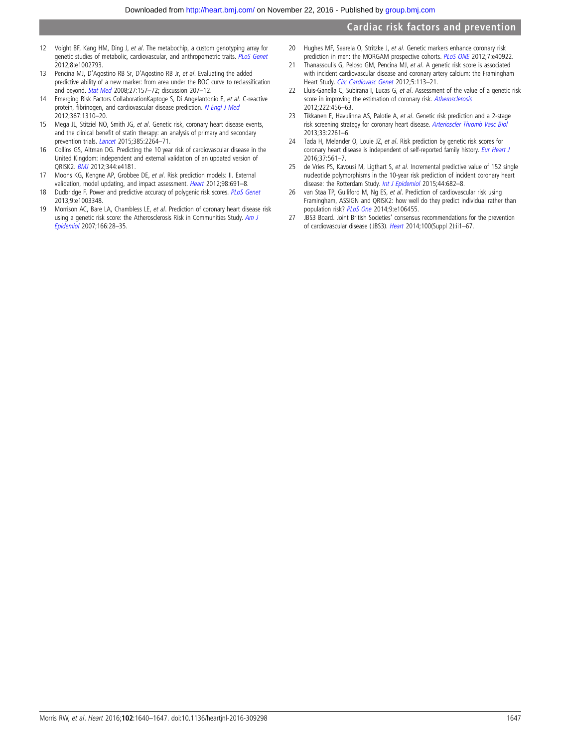- <span id="page-7-0"></span>12 Voight BF, Kang HM, Ding J, et al. The metabochip, a custom genotyping array for genetic studies of metabolic, cardiovascular, and anthropometric traits. [PLoS Genet](http://dx.doi.org/10.1371/journal.pgen.1002793) 2012;8:e1002793.
- 13 Pencina MJ, D'Agostino RB Sr, D'Agostino RB Jr, et al. Evaluating the added predictive ability of a new marker: from area under the ROC curve to reclassification and beyond. [Stat Med](http://dx.doi.org/10.1002/sim.2929) 2008;27:157–72; discussion 207–12.
- 14 Emerging Risk Factors CollaborationKaptoge S, Di Angelantonio E, et al. C-reactive protein, fibrinogen, and cardiovascular disease prediction. [N Engl J Med](http://dx.doi.org/10.1056/NEJMoa1107477) 2012;367:1310–20.
- 15 Mega JL, Stitziel NO, Smith JG, et al. Genetic risk, coronary heart disease events, and the clinical benefit of statin therapy: an analysis of primary and secondary prevention trials. [Lancet](http://dx.doi.org/10.1016/S0140-6736(14)61730-X) 2015;385:2264-71.
- 16 Collins GS, Altman DG. Predicting the 10 year risk of cardiovascular disease in the United Kingdom: independent and external validation of an updated version of QRISK2. [BMJ](http://dx.doi.org/10.1136/bmj.e4181) 2012;344:e4181.
- 17 Moons KG, Kengne AP, Grobbee DE, et al. Risk prediction models: II. External validation, model updating, and impact assessment. [Heart](http://dx.doi.org/10.1136/heartjnl-2011-301247) 2012;98:691–8.
- 18 Dudbridge F. Power and predictive accuracy of polygenic risk scores. [PLoS Genet](http://dx.doi.org/10.1371/journal.pgen.1003348) 2013;9:e1003348.
- 19 Morrison AC, Bare LA, Chambless LE, et al. Prediction of coronary heart disease risk using a genetic risk score: the Atherosclerosis Risk in Communities Study. [Am J](http://dx.doi.org/10.1093/aje/kwm060) [Epidemiol](http://dx.doi.org/10.1093/aje/kwm060) 2007;166:28–35.
- 20 Hughes MF, Saarela O, Stritzke J, et al. Genetic markers enhance coronary risk prediction in men: the MORGAM prospective cohorts. [PLoS ONE](http://dx.doi.org/10.1371/journal.pone.0040922) 2012;7:e40922.
- 21 Thanassoulis G, Peloso GM, Pencina MJ, et al. A genetic risk score is associated with incident cardiovascular disease and coronary artery calcium: the Framingham Heart Study. [Circ Cardiovasc Genet](http://dx.doi.org/10.1161/CIRCGENETICS.111.961342) 2012;5:113-21.
- 22 Lluis-Ganella C, Subirana I, Lucas G, et al. Assessment of the value of a genetic risk score in improving the estimation of coronary risk. [Atherosclerosis](http://dx.doi.org/10.1016/j.atherosclerosis.2012.03.024) 2012;222:456–63.
- 23 Tikkanen E, Havulinna AS, Palotie A, et al. Genetic risk prediction and a 2-stage risk screening strategy for coronary heart disease. [Arterioscler Thromb Vasc Biol](http://dx.doi.org/10.1161/ATVBAHA.112.301120) 2013;33:2261–6.
- 24 Tada H, Melander O, Louie JZ, et al. Risk prediction by genetic risk scores for coronary heart disease is independent of self-reported family history. [Eur Heart J](http://dx.doi.org/10.1093/eurheartj/ehv462) 2016;37:561–7.
- 25 de Vries PS, Kavousi M, Ligthart S, et al. Incremental predictive value of 152 single nucleotide polymorphisms in the 10-year risk prediction of incident coronary heart disease: the Rotterdam Study. [Int J Epidemiol](http://dx.doi.org/10.1093/ije/dyv070) 2015;44:682-8.
- 26 van Staa TP, Gulliford M, Ng ES, et al. Prediction of cardiovascular risk using Framingham, ASSIGN and QRISK2: how well do they predict individual rather than population risk? [PLoS One](http://dx.doi.org/10.1371/journal.pone.0106455) 2014;9:e106455.
- 27 JBS3 Board. Joint British Societies' consensus recommendations for the prevention of cardiovascular disease (JBS3). [Heart](http://dx.doi.org/10.1136/heartjnl-2014-305693) 2014;100(Suppl 2):ii1-67.